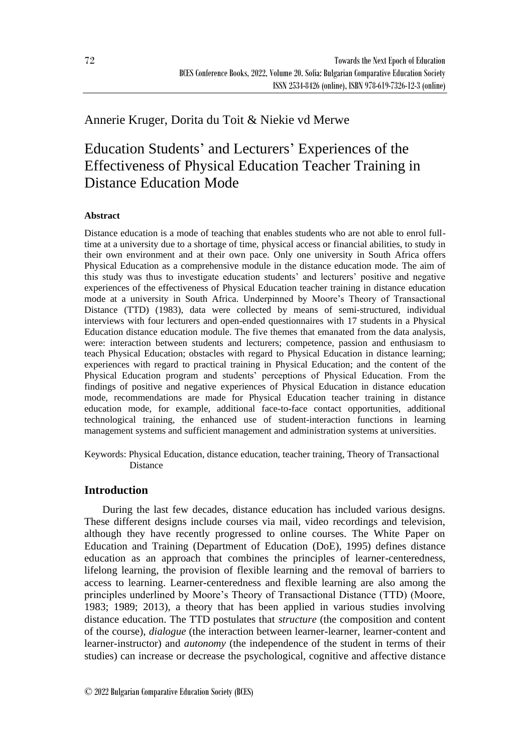## Annerie Kruger, Dorita du Toit & Niekie vd Merwe

# Education Students' and Lecturers' Experiences of the Effectiveness of Physical Education Teacher Training in Distance Education Mode

## **Abstract**

Distance education is a mode of teaching that enables students who are not able to enrol fulltime at a university due to a shortage of time, physical access or financial abilities, to study in their own environment and at their own pace. Only one university in South Africa offers Physical Education as a comprehensive module in the distance education mode. The aim of this study was thus to investigate education students' and lecturers' positive and negative experiences of the effectiveness of Physical Education teacher training in distance education mode at a university in South Africa. Underpinned by Moore's Theory of Transactional Distance (TTD) (1983), data were collected by means of semi-structured, individual interviews with four lecturers and open-ended questionnaires with 17 students in a Physical Education distance education module. The five themes that emanated from the data analysis, were: interaction between students and lecturers; competence, passion and enthusiasm to teach Physical Education; obstacles with regard to Physical Education in distance learning; experiences with regard to practical training in Physical Education; and the content of the Physical Education program and students' perceptions of Physical Education. From the findings of positive and negative experiences of Physical Education in distance education mode, recommendations are made for Physical Education teacher training in distance education mode, for example, additional face-to-face contact opportunities, additional technological training, the enhanced use of student-interaction functions in learning management systems and sufficient management and administration systems at universities.

Keywords: Physical Education, distance education, teacher training, Theory of Transactional **Distance** 

## **Introduction**

During the last few decades, distance education has included various designs. These different designs include courses via mail, video recordings and television, although they have recently progressed to online courses. The White Paper on Education and Training (Department of Education (DoE), 1995) defines distance education as an approach that combines the principles of learner-centeredness, lifelong learning, the provision of flexible learning and the removal of barriers to access to learning. Learner-centeredness and flexible learning are also among the principles underlined by Moore's Theory of Transactional Distance (TTD) (Moore, 1983; 1989; 2013), a theory that has been applied in various studies involving distance education. The TTD postulates that *structure* (the composition and content of the course), *dialogue* (the interaction between learner-learner, learner-content and learner-instructor) and *autonomy* (the independence of the student in terms of their studies) can increase or decrease the psychological, cognitive and affective distance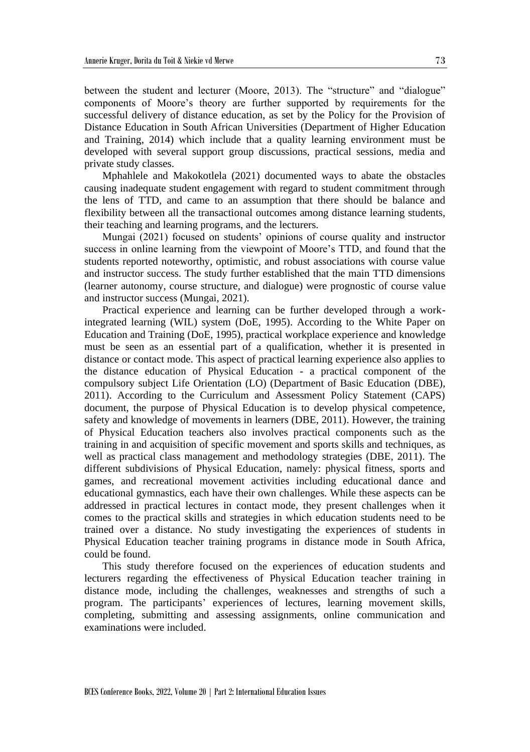between the student and lecturer (Moore, 2013). The "structure" and "dialogue" components of Moore's theory are further supported by requirements for the successful delivery of distance education, as set by the Policy for the Provision of Distance Education in South African Universities (Department of Higher Education and Training, 2014) which include that a quality learning environment must be developed with several support group discussions, practical sessions, media and private study classes.

Mphahlele and Makokotlela (2021) documented ways to abate the obstacles causing inadequate student engagement with regard to student commitment through the lens of TTD, and came to an assumption that there should be balance and flexibility between all the transactional outcomes among distance learning students, their teaching and learning programs, and the lecturers.

Mungai (2021) focused on students' opinions of course quality and instructor success in online learning from the viewpoint of Moore's TTD, and found that the students reported noteworthy, optimistic, and robust associations with course value and instructor success. The study further established that the main TTD dimensions (learner autonomy, course structure, and dialogue) were prognostic of course value and instructor success (Mungai, 2021).

Practical experience and learning can be further developed through a workintegrated learning (WIL) system (DoE, 1995). According to the White Paper on Education and Training (DoE, 1995), practical workplace experience and knowledge must be seen as an essential part of a qualification, whether it is presented in distance or contact mode. This aspect of practical learning experience also applies to the distance education of Physical Education - a practical component of the compulsory subject Life Orientation (LO) (Department of Basic Education (DBE), 2011). According to the Curriculum and Assessment Policy Statement (CAPS) document, the purpose of Physical Education is to develop physical competence, safety and knowledge of movements in learners (DBE, 2011). However, the training of Physical Education teachers also involves practical components such as the training in and acquisition of specific movement and sports skills and techniques, as well as practical class management and methodology strategies (DBE, 2011). The different subdivisions of Physical Education, namely: physical fitness, sports and games, and recreational movement activities including educational dance and educational gymnastics, each have their own challenges. While these aspects can be addressed in practical lectures in contact mode, they present challenges when it comes to the practical skills and strategies in which education students need to be trained over a distance. No study investigating the experiences of students in Physical Education teacher training programs in distance mode in South Africa, could be found.

This study therefore focused on the experiences of education students and lecturers regarding the effectiveness of Physical Education teacher training in distance mode, including the challenges, weaknesses and strengths of such a program. The participants' experiences of lectures, learning movement skills, completing, submitting and assessing assignments, online communication and examinations were included.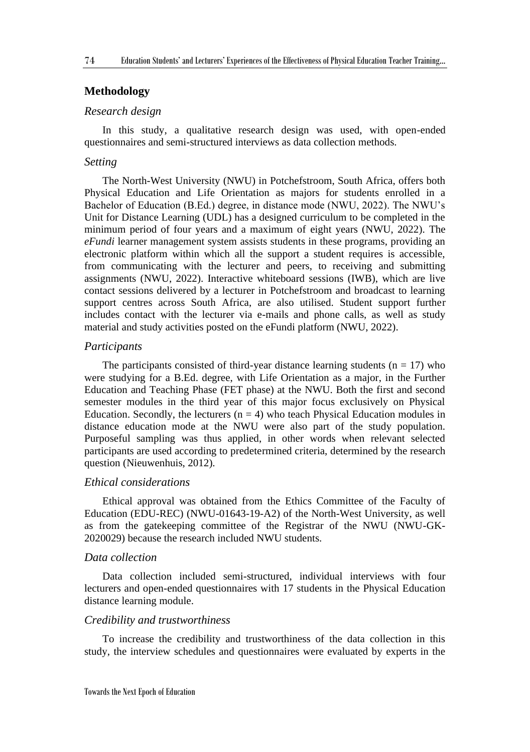## **Methodology**

## *Research design*

In this study, a qualitative research design was used, with open-ended questionnaires and semi-structured interviews as data collection methods.

#### *Setting*

The North-West University (NWU) in Potchefstroom, South Africa, offers both Physical Education and Life Orientation as majors for students enrolled in a Bachelor of Education (B.Ed.) degree, in distance mode (NWU, 2022). The NWU's Unit for Distance Learning (UDL) has a designed curriculum to be completed in the minimum period of four years and a maximum of eight years (NWU, 2022). The *eFundi* learner management system assists students in these programs, providing an electronic platform within which all the support a student requires is accessible, from communicating with the lecturer and peers, to receiving and submitting assignments (NWU, 2022). Interactive whiteboard sessions (IWB), which are live contact sessions delivered by a lecturer in Potchefstroom and broadcast to learning support centres across South Africa, are also utilised. Student support further includes contact with the lecturer via e-mails and phone calls, as well as study material and study activities posted on the eFundi platform (NWU, 2022).

#### *Participants*

The participants consisted of third-year distance learning students ( $n = 17$ ) who were studying for a B.Ed. degree, with Life Orientation as a major, in the Further Education and Teaching Phase (FET phase) at the NWU. Both the first and second semester modules in the third year of this major focus exclusively on Physical Education. Secondly, the lecturers  $(n = 4)$  who teach Physical Education modules in distance education mode at the NWU were also part of the study population. Purposeful sampling was thus applied, in other words when relevant selected participants are used according to predetermined criteria, determined by the research question (Nieuwenhuis, 2012).

## *Ethical considerations*

Ethical approval was obtained from the Ethics Committee of the Faculty of Education (EDU-REC) (NWU-01643-19-A2) of the North-West University, as well as from the gatekeeping committee of the Registrar of the NWU (NWU-GK-2020029) because the research included NWU students.

#### *Data collection*

Data collection included semi-structured, individual interviews with four lecturers and open-ended questionnaires with 17 students in the Physical Education distance learning module.

#### *Credibility and trustworthiness*

To increase the credibility and trustworthiness of the data collection in this study, the interview schedules and questionnaires were evaluated by experts in the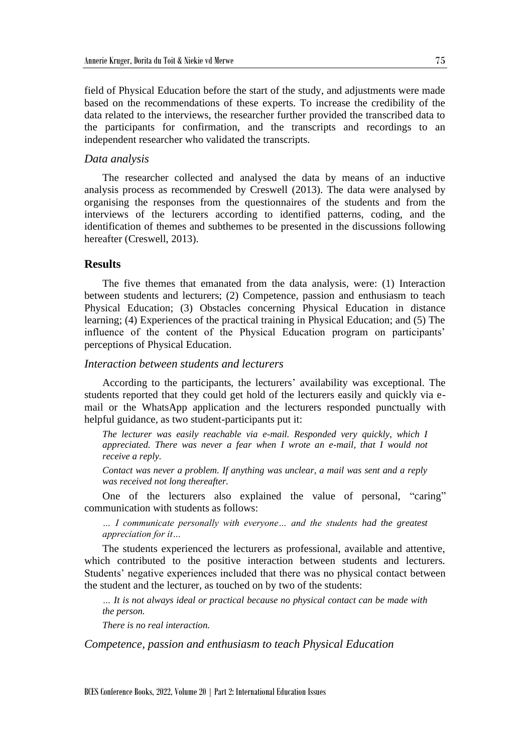field of Physical Education before the start of the study, and adjustments were made based on the recommendations of these experts. To increase the credibility of the data related to the interviews, the researcher further provided the transcribed data to the participants for confirmation, and the transcripts and recordings to an independent researcher who validated the transcripts.

#### *Data analysis*

The researcher collected and analysed the data by means of an inductive analysis process as recommended by Creswell (2013). The data were analysed by organising the responses from the questionnaires of the students and from the interviews of the lecturers according to identified patterns, coding, and the identification of themes and subthemes to be presented in the discussions following hereafter (Creswell, 2013).

## **Results**

The five themes that emanated from the data analysis, were: (1) Interaction between students and lecturers; (2) Competence, passion and enthusiasm to teach Physical Education; (3) Obstacles concerning Physical Education in distance learning; (4) Experiences of the practical training in Physical Education; and (5) The influence of the content of the Physical Education program on participants' perceptions of Physical Education.

#### *Interaction between students and lecturers*

According to the participants, the lecturers' availability was exceptional. The students reported that they could get hold of the lecturers easily and quickly via email or the WhatsApp application and the lecturers responded punctually with helpful guidance, as two student-participants put it:

*The lecturer was easily reachable via e-mail. Responded very quickly, which I appreciated. There was never a fear when I wrote an e-mail, that I would not receive a reply.*

*Contact was never a problem. If anything was unclear, a mail was sent and a reply was received not long thereafter.*

One of the lecturers also explained the value of personal, "caring" communication with students as follows:

*… I communicate personally with everyone… and the students had the greatest appreciation for it…*

The students experienced the lecturers as professional, available and attentive, which contributed to the positive interaction between students and lecturers. Students' negative experiences included that there was no physical contact between the student and the lecturer, as touched on by two of the students:

*… It is not always ideal or practical because no physical contact can be made with the person.*

*There is no real interaction.*

*Competence, passion and enthusiasm to teach Physical Education*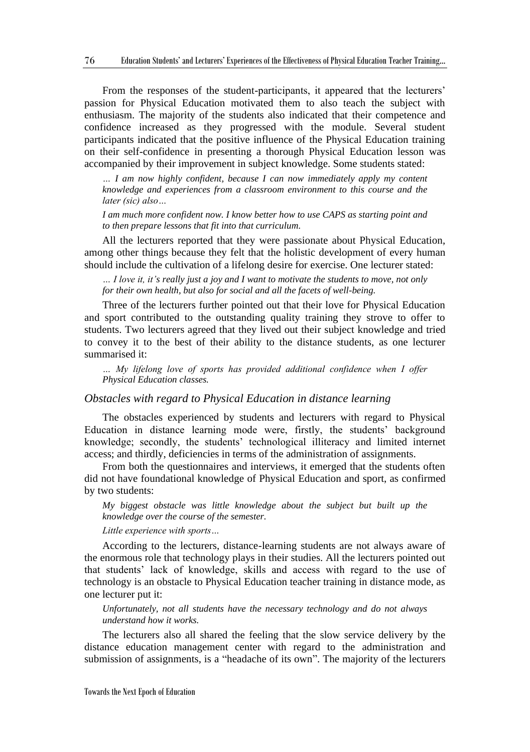From the responses of the student-participants, it appeared that the lecturers' passion for Physical Education motivated them to also teach the subject with enthusiasm. The majority of the students also indicated that their competence and confidence increased as they progressed with the module. Several student participants indicated that the positive influence of the Physical Education training on their self-confidence in presenting a thorough Physical Education lesson was accompanied by their improvement in subject knowledge. Some students stated:

*… I am now highly confident, because I can now immediately apply my content knowledge and experiences from a classroom environment to this course and the later (sic) also…*

*I am much more confident now. I know better how to use CAPS as starting point and to then prepare lessons that fit into that curriculum.*

All the lecturers reported that they were passionate about Physical Education, among other things because they felt that the holistic development of every human should include the cultivation of a lifelong desire for exercise. One lecturer stated:

*… I love it, it's really just a joy and I want to motivate the students to move, not only for their own health, but also for social and all the facets of well-being.*

Three of the lecturers further pointed out that their love for Physical Education and sport contributed to the outstanding quality training they strove to offer to students. Two lecturers agreed that they lived out their subject knowledge and tried to convey it to the best of their ability to the distance students, as one lecturer summarised it:

*… My lifelong love of sports has provided additional confidence when I offer Physical Education classes.*

#### *Obstacles with regard to Physical Education in distance learning*

The obstacles experienced by students and lecturers with regard to Physical Education in distance learning mode were, firstly, the students' background knowledge; secondly, the students' technological illiteracy and limited internet access; and thirdly, deficiencies in terms of the administration of assignments.

From both the questionnaires and interviews, it emerged that the students often did not have foundational knowledge of Physical Education and sport, as confirmed by two students:

*My biggest obstacle was little knowledge about the subject but built up the knowledge over the course of the semester.*

*Little experience with sports…*

According to the lecturers, distance-learning students are not always aware of the enormous role that technology plays in their studies. All the lecturers pointed out that students' lack of knowledge, skills and access with regard to the use of technology is an obstacle to Physical Education teacher training in distance mode, as one lecturer put it:

*Unfortunately, not all students have the necessary technology and do not always understand how it works.*

The lecturers also all shared the feeling that the slow service delivery by the distance education management center with regard to the administration and submission of assignments, is a "headache of its own". The majority of the lecturers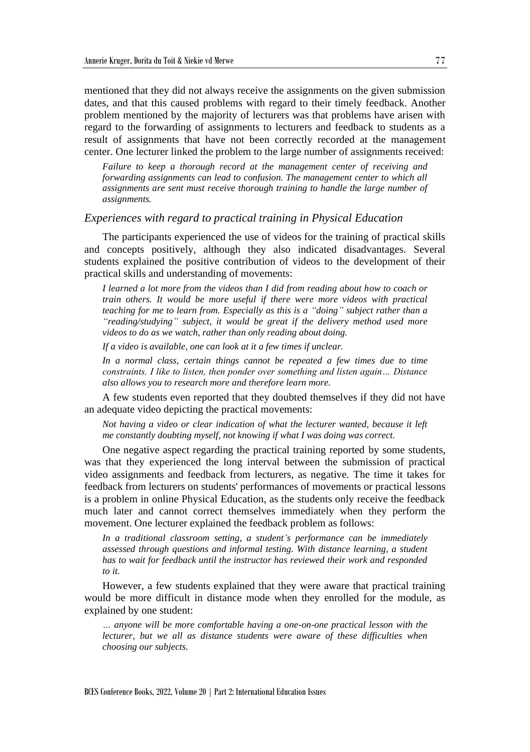mentioned that they did not always receive the assignments on the given submission dates, and that this caused problems with regard to their timely feedback. Another problem mentioned by the majority of lecturers was that problems have arisen with regard to the forwarding of assignments to lecturers and feedback to students as a result of assignments that have not been correctly recorded at the management center. One lecturer linked the problem to the large number of assignments received:

*Failure to keep a thorough record at the management center of receiving and forwarding assignments can lead to confusion. The management center to which all assignments are sent must receive thorough training to handle the large number of assignments.*

#### *Experiences with regard to practical training in Physical Education*

The participants experienced the use of videos for the training of practical skills and concepts positively, although they also indicated disadvantages. Several students explained the positive contribution of videos to the development of their practical skills and understanding of movements:

*I learned a lot more from the videos than I did from reading about how to coach or train others. It would be more useful if there were more videos with practical teaching for me to learn from. Especially as this is a "doing" subject rather than a "reading/studying" subject, it would be great if the delivery method used more videos to do as we watch, rather than only reading about doing.*

*If a video is available, one can look at it a few times if unclear.*

*In a normal class, certain things cannot be repeated a few times due to time constraints. I like to listen, then ponder over something and listen again… Distance also allows you to research more and therefore learn more.*

A few students even reported that they doubted themselves if they did not have an adequate video depicting the practical movements:

*Not having a video or clear indication of what the lecturer wanted, because it left me constantly doubting myself, not knowing if what I was doing was correct.*

One negative aspect regarding the practical training reported by some students, was that they experienced the long interval between the submission of practical video assignments and feedback from lecturers, as negative. The time it takes for feedback from lecturers on students' performances of movements or practical lessons is a problem in online Physical Education, as the students only receive the feedback much later and cannot correct themselves immediately when they perform the movement. One lecturer explained the feedback problem as follows:

*In a traditional classroom setting, a student's performance can be immediately assessed through questions and informal testing. With distance learning, a student has to wait for feedback until the instructor has reviewed their work and responded to it.*

However, a few students explained that they were aware that practical training would be more difficult in distance mode when they enrolled for the module, as explained by one student:

*… anyone will be more comfortable having a one-on-one practical lesson with the lecturer, but we all as distance students were aware of these difficulties when choosing our subjects.*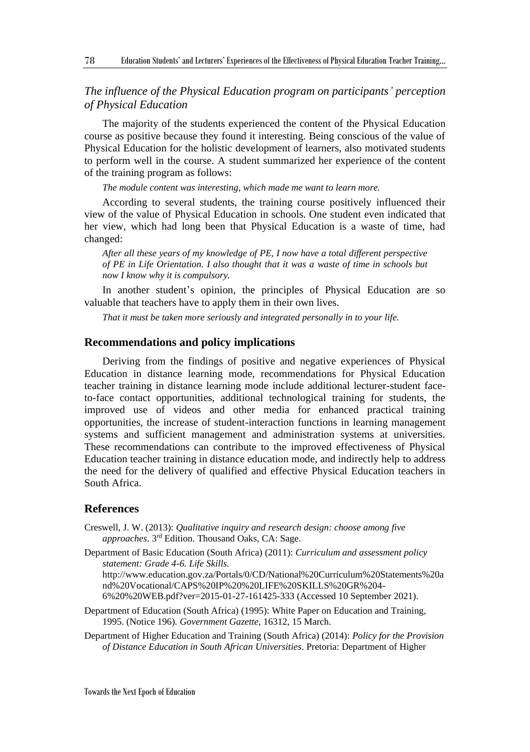## *The influence of the Physical Education program on participants' perception of Physical Education*

The majority of the students experienced the content of the Physical Education course as positive because they found it interesting. Being conscious of the value of Physical Education for the holistic development of learners, also motivated students to perform well in the course. A student summarized her experience of the content of the training program as follows:

*The module content was interesting, which made me want to learn more.*

According to several students, the training course positively influenced their view of the value of Physical Education in schools. One student even indicated that her view, which had long been that Physical Education is a waste of time, had changed:

*After all these years of my knowledge of PE, I now have a total different perspective of PE in Life Orientation. I also thought that it was a waste of time in schools but now I know why it is compulsory.*

In another student's opinion, the principles of Physical Education are so valuable that teachers have to apply them in their own lives.

*That it must be taken more seriously and integrated personally in to your life.*

## **Recommendations and policy implications**

Deriving from the findings of positive and negative experiences of Physical Education in distance learning mode, recommendations for Physical Education teacher training in distance learning mode include additional lecturer-student faceto-face contact opportunities, additional technological training for students, the improved use of videos and other media for enhanced practical training opportunities, the increase of student-interaction functions in learning management systems and sufficient management and administration systems at universities. These recommendations can contribute to the improved effectiveness of Physical Education teacher training in distance education mode, and indirectly help to address the need for the delivery of qualified and effective Physical Education teachers in South Africa.

#### **References**

78

- Creswell, J. W. (2013): *Qualitative inquiry and research design: choose among five approaches*. 3 rd Edition. Thousand Oaks, CA: Sage.
- Department of Basic Education (South Africa) (2011): *Curriculum and assessment policy statement: Grade 4-6. Life Skills.*

http://www.education.gov.za/Portals/0/CD/National%20Curriculum%20Statements%20a nd%20Vocational/CAPS%20IP%20%20LIFE%20SKILLS%20GR%204- 6%20%20WEB.pdf?ver=2015-01-27-161425-333 (Accessed 10 September 2021).

Department of Education (South Africa) (1995): White Paper on Education and Training, 1995. (Notice 196). *Government Gazette,* 16312, 15 March.

Department of Higher Education and Training (South Africa) (2014): *Policy for the Provision of Distance Education in South African Universities*. Pretoria: Department of Higher